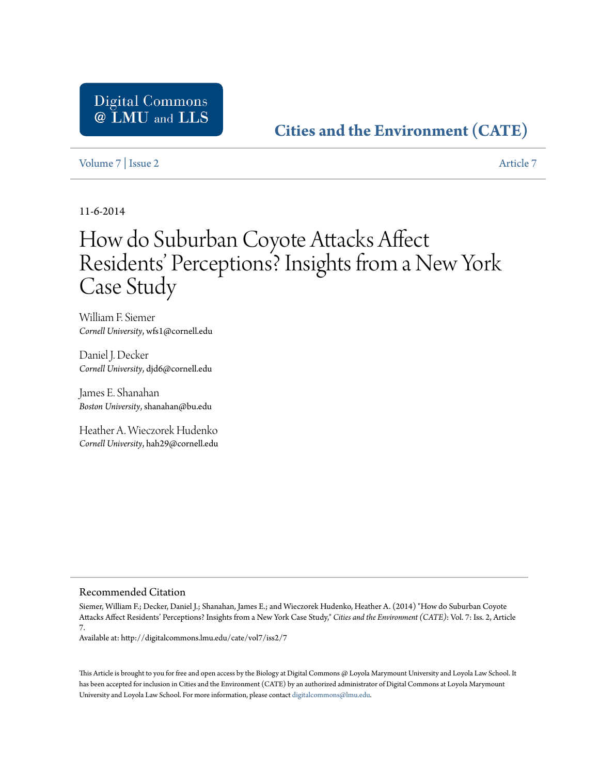# **[Cities and the Environment \(CATE\)](http://digitalcommons.lmu.edu/cate)**

[Volume 7](http://digitalcommons.lmu.edu/cate/vol7) | [Issue 2](http://digitalcommons.lmu.edu/cate/vol7/iss2) [Article 7](http://digitalcommons.lmu.edu/cate/vol7/iss2/7)

11-6-2014

# How do Suburban Coyote Attacks Affect Residents' Perceptions? Insights from a New York Case Study

William F. Siemer *Cornell University*, wfs1@cornell.edu

Daniel J. Decker *Cornell University*, djd6@cornell.edu

James E. Shanahan *Boston University*, shanahan@bu.edu

Heather A. Wieczorek Hudenko *Cornell University*, hah29@cornell.edu

#### Recommended Citation

Siemer, William F.; Decker, Daniel J.; Shanahan, James E.; and Wieczorek Hudenko, Heather A. (2014) "How do Suburban Coyote Attacks Affect Residents' Perceptions? Insights from a New York Case Study," *Cities and the Environment (CATE)*: Vol. 7: Iss. 2, Article 7.

Available at: http://digitalcommons.lmu.edu/cate/vol7/iss2/7

This Article is brought to you for free and open access by the Biology at Digital Commons @ Loyola Marymount University and Loyola Law School. It has been accepted for inclusion in Cities and the Environment (CATE) by an authorized administrator of Digital Commons at Loyola Marymount University and Loyola Law School. For more information, please contact [digitalcommons@lmu.edu](mailto:digitalcommons@lmu.edu).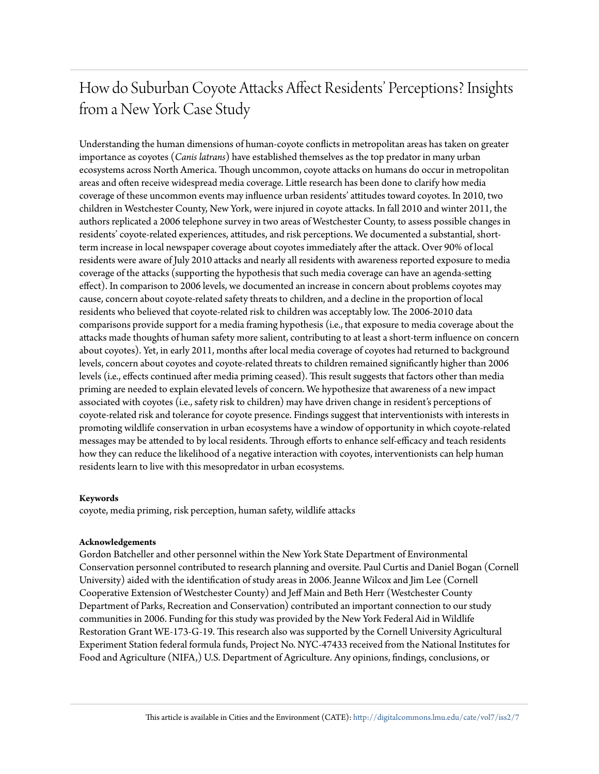# How do Suburban Coyote Attacks Affect Residents' Perceptions? Insights from a New York Case Study

Understanding the human dimensions of human-coyote conflicts in metropolitan areas has taken on greater importance as coyotes (*Canis latrans*) have established themselves as the top predator in many urban ecosystems across North America. Though uncommon, coyote attacks on humans do occur in metropolitan areas and often receive widespread media coverage. Little research has been done to clarify how media coverage of these uncommon events may influence urban residents' attitudes toward coyotes. In 2010, two children in Westchester County, New York, were injured in coyote attacks. In fall 2010 and winter 2011, the authors replicated a 2006 telephone survey in two areas of Westchester County, to assess possible changes in residents' coyote-related experiences, attitudes, and risk perceptions. We documented a substantial, shortterm increase in local newspaper coverage about coyotes immediately after the attack. Over 90% of local residents were aware of July 2010 attacks and nearly all residents with awareness reported exposure to media coverage of the attacks (supporting the hypothesis that such media coverage can have an agenda-setting effect). In comparison to 2006 levels, we documented an increase in concern about problems coyotes may cause, concern about coyote-related safety threats to children, and a decline in the proportion of local residents who believed that coyote-related risk to children was acceptably low. The 2006-2010 data comparisons provide support for a media framing hypothesis (i.e., that exposure to media coverage about the attacks made thoughts of human safety more salient, contributing to at least a short-term influence on concern about coyotes). Yet, in early 2011, months after local media coverage of coyotes had returned to background levels, concern about coyotes and coyote-related threats to children remained significantly higher than 2006 levels (i.e., effects continued after media priming ceased). This result suggests that factors other than media priming are needed to explain elevated levels of concern. We hypothesize that awareness of a new impact associated with coyotes (i.e., safety risk to children) may have driven change in resident's perceptions of coyote-related risk and tolerance for coyote presence. Findings suggest that interventionists with interests in promoting wildlife conservation in urban ecosystems have a window of opportunity in which coyote-related messages may be attended to by local residents. Through efforts to enhance self-efficacy and teach residents how they can reduce the likelihood of a negative interaction with coyotes, interventionists can help human residents learn to live with this mesopredator in urban ecosystems.

#### **Keywords**

coyote, media priming, risk perception, human safety, wildlife attacks

#### **Acknowledgements**

Gordon Batcheller and other personnel within the New York State Department of Environmental Conservation personnel contributed to research planning and oversite. Paul Curtis and Daniel Bogan (Cornell University) aided with the identification of study areas in 2006. Jeanne Wilcox and Jim Lee (Cornell Cooperative Extension of Westchester County) and Jeff Main and Beth Herr (Westchester County Department of Parks, Recreation and Conservation) contributed an important connection to our study communities in 2006. Funding for this study was provided by the New York Federal Aid in Wildlife Restoration Grant WE-173-G-19. This research also was supported by the Cornell University Agricultural Experiment Station federal formula funds, Project No. NYC-47433 received from the National Institutes for Food and Agriculture (NIFA,) U.S. Department of Agriculture. Any opinions, findings, conclusions, or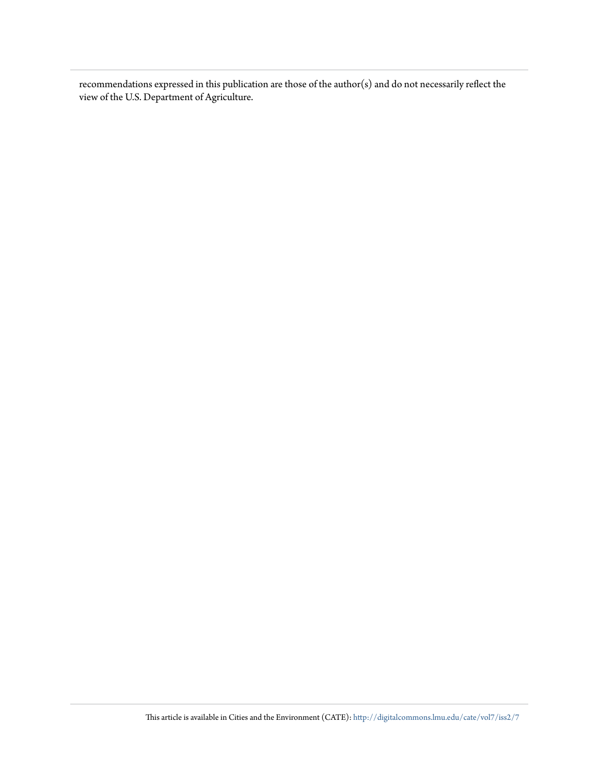recommendations expressed in this publication are those of the author(s) and do not necessarily reflect the view of the U.S. Department of Agriculture.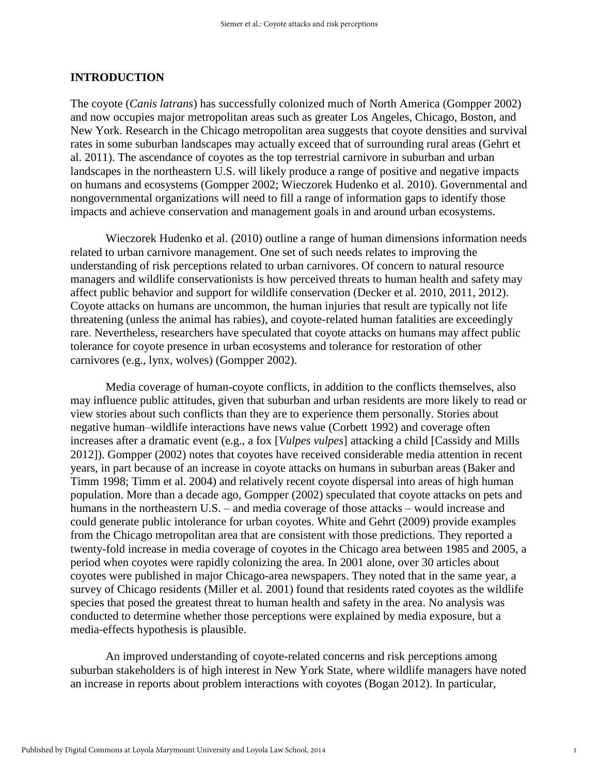### **INTRODUCTION**

The coyote (*Canis latrans*) has successfully colonized much of North America (Gompper 2002) and now occupies major metropolitan areas such as greater Los Angeles, Chicago, Boston, and New York. Research in the Chicago metropolitan area suggests that coyote densities and survival rates in some suburban landscapes may actually exceed that of surrounding rural areas (Gehrt et al. 2011). The ascendance of coyotes as the top terrestrial carnivore in suburban and urban landscapes in the northeastern U.S. will likely produce a range of positive and negative impacts on humans and ecosystems (Gompper 2002; Wieczorek Hudenko et al. 2010). Governmental and nongovernmental organizations will need to fill a range of information gaps to identify those impacts and achieve conservation and management goals in and around urban ecosystems.

Wieczorek Hudenko et al. (2010) outline a range of human dimensions information needs related to urban carnivore management. One set of such needs relates to improving the understanding of risk perceptions related to urban carnivores. Of concern to natural resource managers and wildlife conservationists is how perceived threats to human health and safety may affect public behavior and support for wildlife conservation (Decker et al. 2010, 2011, 2012). Coyote attacks on humans are uncommon, the human injuries that result are typically not life threatening (unless the animal has rabies), and coyote-related human fatalities are exceedingly rare. Nevertheless, researchers have speculated that coyote attacks on humans may affect public tolerance for coyote presence in urban ecosystems and tolerance for restoration of other carnivores (e.g., lynx, wolves) (Gompper 2002).

Media coverage of human-coyote conflicts, in addition to the conflicts themselves, also may influence public attitudes, given that suburban and urban residents are more likely to read or view stories about such conflicts than they are to experience them personally. Stories about negative human–wildlife interactions have news value (Corbett 1992) and coverage often increases after a dramatic event (e.g., a fox [*Vulpes vulpes*] attacking a child [Cassidy and Mills 2012]). Gompper (2002) notes that coyotes have received considerable media attention in recent years, in part because of an increase in coyote attacks on humans in suburban areas (Baker and Timm 1998; Timm et al. 2004) and relatively recent coyote dispersal into areas of high human population. More than a decade ago, Gompper (2002) speculated that coyote attacks on pets and humans in the northeastern U.S. – and media coverage of those attacks – would increase and could generate public intolerance for urban coyotes. White and Gehrt (2009) provide examples from the Chicago metropolitan area that are consistent with those predictions. They reported a twenty-fold increase in media coverage of coyotes in the Chicago area between 1985 and 2005, a period when coyotes were rapidly colonizing the area. In 2001 alone, over 30 articles about coyotes were published in major Chicago-area newspapers. They noted that in the same year, a survey of Chicago residents (Miller et al. 2001) found that residents rated coyotes as the wildlife species that posed the greatest threat to human health and safety in the area. No analysis was conducted to determine whether those perceptions were explained by media exposure, but a media-effects hypothesis is plausible.

An improved understanding of coyote-related concerns and risk perceptions among suburban stakeholders is of high interest in New York State, where wildlife managers have noted an increase in reports about problem interactions with coyotes (Bogan 2012). In particular,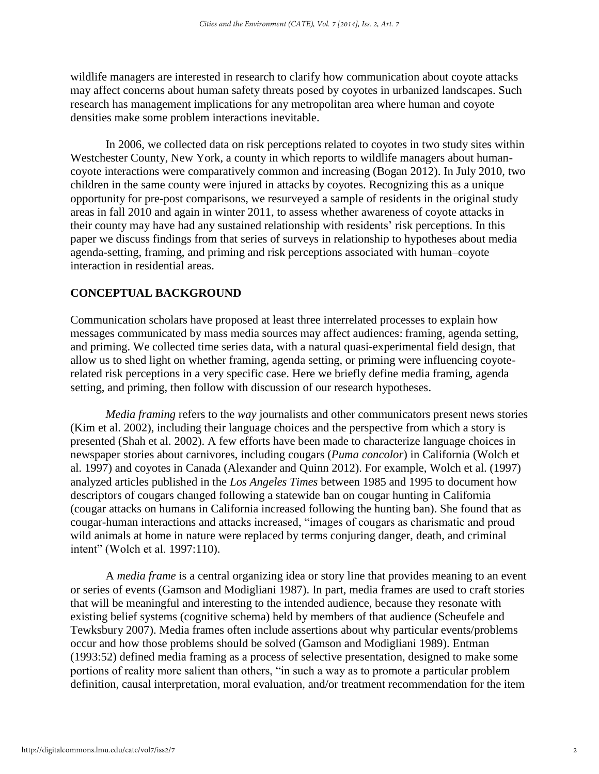wildlife managers are interested in research to clarify how communication about coyote attacks may affect concerns about human safety threats posed by coyotes in urbanized landscapes. Such research has management implications for any metropolitan area where human and coyote densities make some problem interactions inevitable.

In 2006, we collected data on risk perceptions related to coyotes in two study sites within Westchester County, New York, a county in which reports to wildlife managers about humancoyote interactions were comparatively common and increasing (Bogan 2012). In July 2010, two children in the same county were injured in attacks by coyotes. Recognizing this as a unique opportunity for pre-post comparisons, we resurveyed a sample of residents in the original study areas in fall 2010 and again in winter 2011, to assess whether awareness of coyote attacks in their county may have had any sustained relationship with residents' risk perceptions. In this paper we discuss findings from that series of surveys in relationship to hypotheses about media agenda-setting, framing, and priming and risk perceptions associated with human–coyote interaction in residential areas.

# **CONCEPTUAL BACKGROUND**

Communication scholars have proposed at least three interrelated processes to explain how messages communicated by mass media sources may affect audiences: framing, agenda setting, and priming. We collected time series data, with a natural quasi-experimental field design, that allow us to shed light on whether framing, agenda setting, or priming were influencing coyoterelated risk perceptions in a very specific case. Here we briefly define media framing, agenda setting, and priming, then follow with discussion of our research hypotheses.

*Media framing* refers to the *way* journalists and other communicators present news stories (Kim et al. 2002), including their language choices and the perspective from which a story is presented (Shah et al. 2002). A few efforts have been made to characterize language choices in newspaper stories about carnivores, including cougars (*Puma concolor*) in California (Wolch et al. 1997) and coyotes in Canada (Alexander and Quinn 2012). For example, Wolch et al. (1997) analyzed articles published in the *Los Angeles Times* between 1985 and 1995 to document how descriptors of cougars changed following a statewide ban on cougar hunting in California (cougar attacks on humans in California increased following the hunting ban). She found that as cougar-human interactions and attacks increased, "images of cougars as charismatic and proud wild animals at home in nature were replaced by terms conjuring danger, death, and criminal intent" (Wolch et al. 1997:110).

A *media frame* is a central organizing idea or story line that provides meaning to an event or series of events (Gamson and Modigliani 1987). In part, media frames are used to craft stories that will be meaningful and interesting to the intended audience, because they resonate with existing belief systems (cognitive schema) held by members of that audience (Scheufele and Tewksbury 2007). Media frames often include assertions about why particular events/problems occur and how those problems should be solved (Gamson and Modigliani 1989). Entman (1993:52) defined media framing as a process of selective presentation, designed to make some portions of reality more salient than others, "in such a way as to promote a particular problem definition, causal interpretation, moral evaluation, and/or treatment recommendation for the item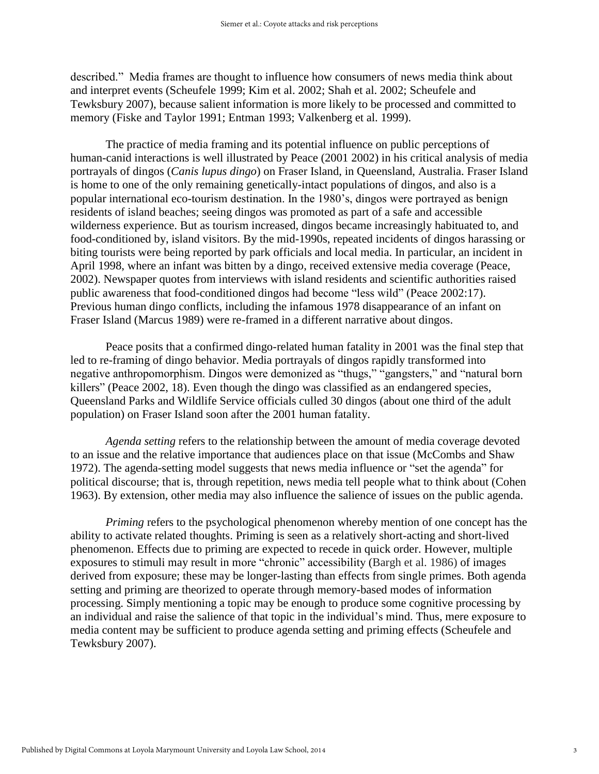described." Media frames are thought to influence how consumers of news media think about and interpret events (Scheufele 1999; Kim et al. 2002; Shah et al. 2002; Scheufele and Tewksbury 2007), because salient information is more likely to be processed and committed to memory (Fiske and Taylor 1991; Entman 1993; Valkenberg et al. 1999).

The practice of media framing and its potential influence on public perceptions of human-canid interactions is well illustrated by Peace (2001 2002) in his critical analysis of media portrayals of dingos (*Canis lupus dingo*) on Fraser Island, in Queensland, Australia. Fraser Island is home to one of the only remaining genetically-intact populations of dingos, and also is a popular international eco-tourism destination. In the 1980's, dingos were portrayed as benign residents of island beaches; seeing dingos was promoted as part of a safe and accessible wilderness experience. But as tourism increased, dingos became increasingly habituated to, and food-conditioned by, island visitors. By the mid-1990s, repeated incidents of dingos harassing or biting tourists were being reported by park officials and local media. In particular, an incident in April 1998, where an infant was bitten by a dingo, received extensive media coverage (Peace, 2002). Newspaper quotes from interviews with island residents and scientific authorities raised public awareness that food-conditioned dingos had become "less wild" (Peace 2002:17). Previous human dingo conflicts, including the infamous 1978 disappearance of an infant on Fraser Island (Marcus 1989) were re-framed in a different narrative about dingos.

Peace posits that a confirmed dingo-related human fatality in 2001 was the final step that led to re-framing of dingo behavior. Media portrayals of dingos rapidly transformed into negative anthropomorphism. Dingos were demonized as "thugs," "gangsters," and "natural born killers" (Peace 2002, 18). Even though the dingo was classified as an endangered species, Queensland Parks and Wildlife Service officials culled 30 dingos (about one third of the adult population) on Fraser Island soon after the 2001 human fatality.

*Agenda setting* refers to the relationship between the amount of media coverage devoted to an issue and the relative importance that audiences place on that issue (McCombs and Shaw 1972). The agenda-setting model suggests that news media influence or "set the agenda" for political discourse; that is, through repetition, news media tell people what to think about (Cohen 1963). By extension, other media may also influence the salience of issues on the public agenda.

*Priming* refers to the psychological phenomenon whereby mention of one concept has the ability to activate related thoughts. Priming is seen as a relatively short-acting and short-lived phenomenon. Effects due to priming are expected to recede in quick order. However, multiple exposures to stimuli may result in more "chronic" accessibility (Bargh et al. 1986) of images derived from exposure; these may be longer-lasting than effects from single primes. Both agenda setting and priming are theorized to operate through memory-based modes of information processing. Simply mentioning a topic may be enough to produce some cognitive processing by an individual and raise the salience of that topic in the individual's mind. Thus, mere exposure to media content may be sufficient to produce agenda setting and priming effects (Scheufele and Tewksbury 2007).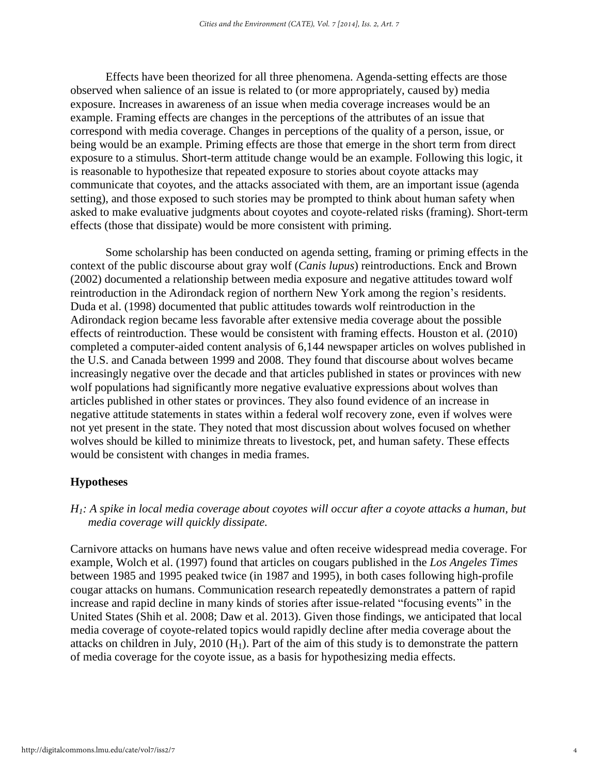Effects have been theorized for all three phenomena. Agenda-setting effects are those observed when salience of an issue is related to (or more appropriately, caused by) media exposure. Increases in awareness of an issue when media coverage increases would be an example. Framing effects are changes in the perceptions of the attributes of an issue that correspond with media coverage. Changes in perceptions of the quality of a person, issue, or being would be an example. Priming effects are those that emerge in the short term from direct exposure to a stimulus. Short-term attitude change would be an example. Following this logic, it is reasonable to hypothesize that repeated exposure to stories about coyote attacks may communicate that coyotes, and the attacks associated with them, are an important issue (agenda setting), and those exposed to such stories may be prompted to think about human safety when asked to make evaluative judgments about coyotes and coyote-related risks (framing). Short-term effects (those that dissipate) would be more consistent with priming.

Some scholarship has been conducted on agenda setting, framing or priming effects in the context of the public discourse about gray wolf (*Canis lupus*) reintroductions. Enck and Brown (2002) documented a relationship between media exposure and negative attitudes toward wolf reintroduction in the Adirondack region of northern New York among the region's residents. Duda et al. (1998) documented that public attitudes towards wolf reintroduction in the Adirondack region became less favorable after extensive media coverage about the possible effects of reintroduction. These would be consistent with framing effects. Houston et al. (2010) completed a computer-aided content analysis of 6,144 newspaper articles on wolves published in the U.S. and Canada between 1999 and 2008. They found that discourse about wolves became increasingly negative over the decade and that articles published in states or provinces with new wolf populations had significantly more negative evaluative expressions about wolves than articles published in other states or provinces. They also found evidence of an increase in negative attitude statements in states within a federal wolf recovery zone, even if wolves were not yet present in the state. They noted that most discussion about wolves focused on whether wolves should be killed to minimize threats to livestock, pet, and human safety. These effects would be consistent with changes in media frames.

# **Hypotheses**

# *H1: A spike in local media coverage about coyotes will occur after a coyote attacks a human, but media coverage will quickly dissipate.*

Carnivore attacks on humans have news value and often receive widespread media coverage. For example, Wolch et al. (1997) found that articles on cougars published in the *Los Angeles Times*  between 1985 and 1995 peaked twice (in 1987 and 1995), in both cases following high-profile cougar attacks on humans. Communication research repeatedly demonstrates a pattern of rapid increase and rapid decline in many kinds of stories after issue-related "focusing events" in the United States (Shih et al. 2008; Daw et al. 2013). Given those findings, we anticipated that local media coverage of coyote-related topics would rapidly decline after media coverage about the attacks on children in July,  $2010$  (H<sub>1</sub>). Part of the aim of this study is to demonstrate the pattern of media coverage for the coyote issue, as a basis for hypothesizing media effects.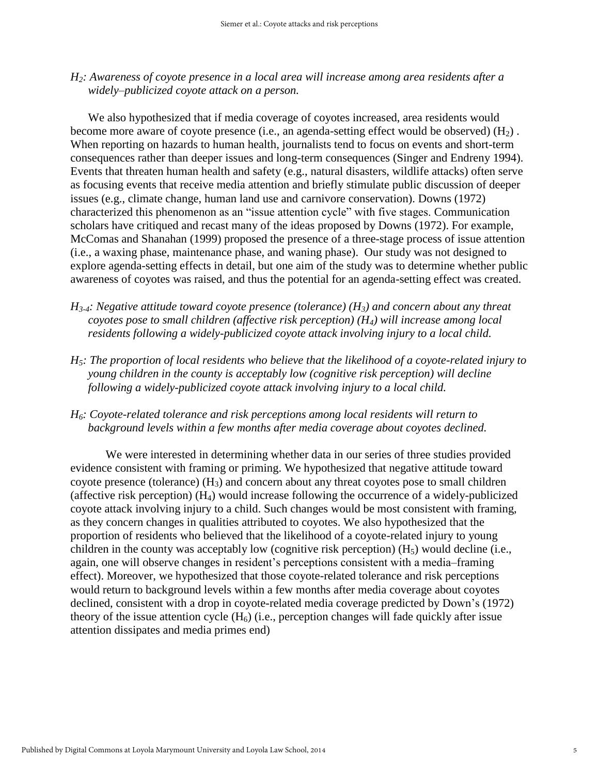*H2: Awareness of coyote presence in a local area will increase among area residents after a widely–publicized coyote attack on a person.* 

We also hypothesized that if media coverage of coyotes increased, area residents would become more aware of coyote presence (i.e., an agenda-setting effect would be observed)  $(H<sub>2</sub>)$ . When reporting on hazards to human health, journalists tend to focus on events and short-term consequences rather than deeper issues and long-term consequences (Singer and Endreny 1994). Events that threaten human health and safety (e.g., natural disasters, wildlife attacks) often serve as focusing events that receive media attention and briefly stimulate public discussion of deeper issues (e.g., climate change, human land use and carnivore conservation). Downs (1972) characterized this phenomenon as an "issue attention cycle" with five stages. Communication scholars have critiqued and recast many of the ideas proposed by Downs (1972). For example, McComas and Shanahan (1999) proposed the presence of a three-stage process of issue attention (i.e., a waxing phase, maintenance phase, and waning phase). Our study was not designed to explore agenda-setting effects in detail, but one aim of the study was to determine whether public awareness of coyotes was raised, and thus the potential for an agenda-setting effect was created.

- *H3-4: Negative attitude toward coyote presence (tolerance) (H3) and concern about any threat coyotes pose to small children (affective risk perception) (H4) will increase among local residents following a widely-publicized coyote attack involving injury to a local child.*
- *H5: The proportion of local residents who believe that the likelihood of a coyote-related injury to young children in the county is acceptably low (cognitive risk perception) will decline following a widely-publicized coyote attack involving injury to a local child.*
- *H6: Coyote-related tolerance and risk perceptions among local residents will return to background levels within a few months after media coverage about coyotes declined.*

We were interested in determining whether data in our series of three studies provided evidence consistent with framing or priming. We hypothesized that negative attitude toward coyote presence (tolerance)  $(H_3)$  and concern about any threat coyotes pose to small children (affective risk perception)  $(H_4)$  would increase following the occurrence of a widely-publicized coyote attack involving injury to a child. Such changes would be most consistent with framing, as they concern changes in qualities attributed to coyotes. We also hypothesized that the proportion of residents who believed that the likelihood of a coyote-related injury to young children in the county was acceptably low (cognitive risk perception)  $(H_5)$  would decline (i.e., again, one will observe changes in resident's perceptions consistent with a media–framing effect). Moreover, we hypothesized that those coyote-related tolerance and risk perceptions would return to background levels within a few months after media coverage about coyotes declined, consistent with a drop in coyote-related media coverage predicted by Down's (1972) theory of the issue attention cycle  $(H_6)$  (i.e., perception changes will fade quickly after issue attention dissipates and media primes end)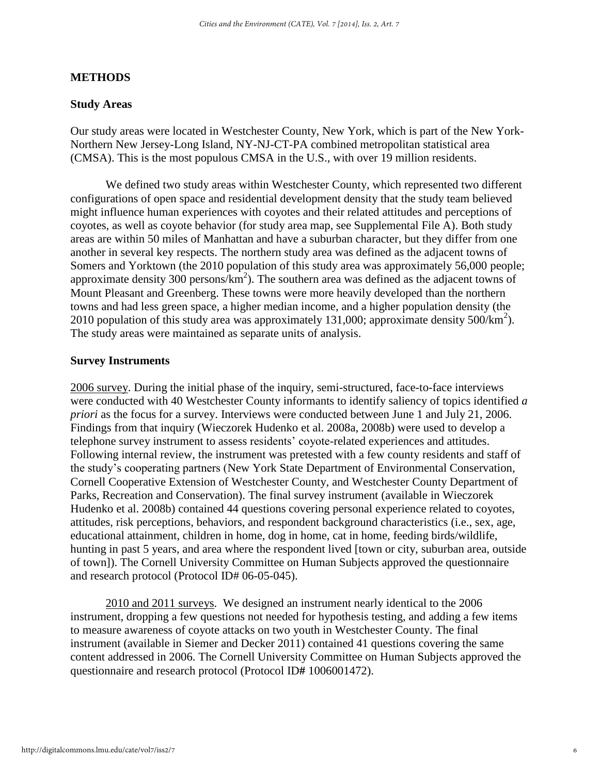### **METHODS**

#### **Study Areas**

Our study areas were located in Westchester County, New York, which is part of the New York-Northern New Jersey-Long Island, NY-NJ-CT-PA combined metropolitan statistical area (CMSA). This is the most populous CMSA in the U.S., with over 19 million residents.

We defined two study areas within Westchester County, which represented two different configurations of open space and residential development density that the study team believed might influence human experiences with coyotes and their related attitudes and perceptions of coyotes, as well as coyote behavior (for study area map, see Supplemental File A). Both study areas are within 50 miles of Manhattan and have a suburban character, but they differ from one another in several key respects. The northern study area was defined as the adjacent towns of Somers and Yorktown (the 2010 population of this study area was approximately 56,000 people; approximate density 300 persons/ $km^2$ ). The southern area was defined as the adjacent towns of Mount Pleasant and Greenberg. These towns were more heavily developed than the northern towns and had less green space, a higher median income, and a higher population density (the 2010 population of this study area was approximately 131,000; approximate density 500/km<sup>2</sup>). The study areas were maintained as separate units of analysis.

#### **Survey Instruments**

2006 survey. During the initial phase of the inquiry, semi-structured, face-to-face interviews were conducted with 40 Westchester County informants to identify saliency of topics identified *a priori* as the focus for a survey. Interviews were conducted between June 1 and July 21, 2006. Findings from that inquiry (Wieczorek Hudenko et al. 2008a, 2008b) were used to develop a telephone survey instrument to assess residents' coyote-related experiences and attitudes. Following internal review, the instrument was pretested with a few county residents and staff of the study's cooperating partners (New York State Department of Environmental Conservation, Cornell Cooperative Extension of Westchester County, and Westchester County Department of Parks, Recreation and Conservation). The final survey instrument (available in Wieczorek Hudenko et al. 2008b) contained 44 questions covering personal experience related to coyotes, attitudes, risk perceptions, behaviors, and respondent background characteristics (i.e., sex, age, educational attainment, children in home, dog in home, cat in home, feeding birds/wildlife, hunting in past 5 years, and area where the respondent lived [town or city, suburban area, outside of town]). The Cornell University Committee on Human Subjects approved the questionnaire and research protocol (Protocol ID# 06-05-045).

 2010 and 2011 surveys. We designed an instrument nearly identical to the 2006 instrument, dropping a few questions not needed for hypothesis testing, and adding a few items to measure awareness of coyote attacks on two youth in Westchester County. The final instrument (available in Siemer and Decker 2011) contained 41 questions covering the same content addressed in 2006. The Cornell University Committee on Human Subjects approved the questionnaire and research protocol (Protocol ID**#** 1006001472).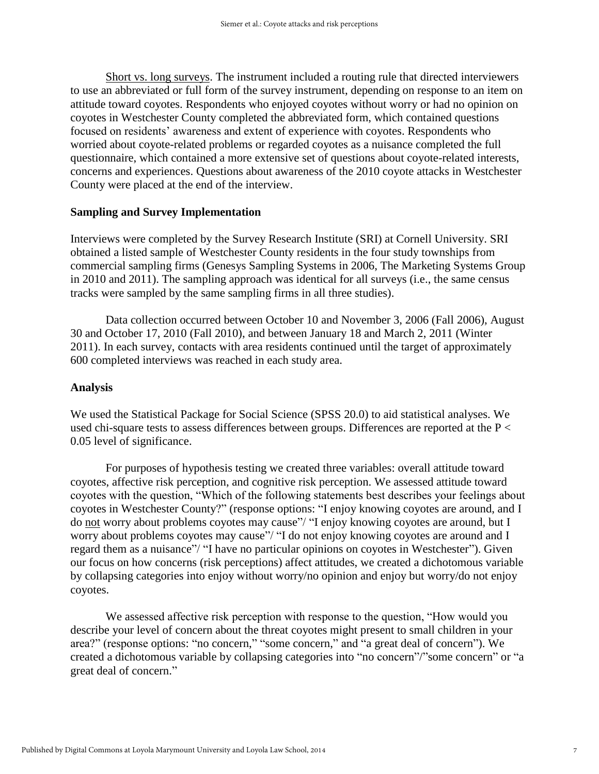Short vs. long surveys. The instrument included a routing rule that directed interviewers to use an abbreviated or full form of the survey instrument, depending on response to an item on attitude toward coyotes. Respondents who enjoyed coyotes without worry or had no opinion on coyotes in Westchester County completed the abbreviated form, which contained questions focused on residents' awareness and extent of experience with coyotes. Respondents who worried about coyote-related problems or regarded coyotes as a nuisance completed the full questionnaire, which contained a more extensive set of questions about coyote-related interests, concerns and experiences. Questions about awareness of the 2010 coyote attacks in Westchester County were placed at the end of the interview.

#### **Sampling and Survey Implementation**

Interviews were completed by the Survey Research Institute (SRI) at Cornell University. SRI obtained a listed sample of Westchester County residents in the four study townships from commercial sampling firms (Genesys Sampling Systems in 2006, The Marketing Systems Group in 2010 and 2011). The sampling approach was identical for all surveys (i.e., the same census tracks were sampled by the same sampling firms in all three studies).

Data collection occurred between October 10 and November 3, 2006 (Fall 2006), August 30 and October 17, 2010 (Fall 2010), and between January 18 and March 2, 2011 (Winter 2011). In each survey, contacts with area residents continued until the target of approximately 600 completed interviews was reached in each study area.

### **Analysis**

We used the Statistical Package for Social Science (SPSS 20.0) to aid statistical analyses. We used chi-square tests to assess differences between groups. Differences are reported at the  $P <$ 0.05 level of significance.

For purposes of hypothesis testing we created three variables: overall attitude toward coyotes, affective risk perception, and cognitive risk perception. We assessed attitude toward coyotes with the question, "Which of the following statements best describes your feelings about coyotes in Westchester County?" (response options: "I enjoy knowing coyotes are around, and I do not worry about problems coyotes may cause"/ "I enjoy knowing coyotes are around, but I worry about problems coyotes may cause"/ "I do not enjoy knowing coyotes are around and I regard them as a nuisance"/ "I have no particular opinions on coyotes in Westchester"). Given our focus on how concerns (risk perceptions) affect attitudes, we created a dichotomous variable by collapsing categories into enjoy without worry/no opinion and enjoy but worry/do not enjoy coyotes.

We assessed affective risk perception with response to the question, "How would you describe your level of concern about the threat coyotes might present to small children in your area?" (response options: "no concern," "some concern," and "a great deal of concern"). We created a dichotomous variable by collapsing categories into "no concern"/"some concern" or "a great deal of concern."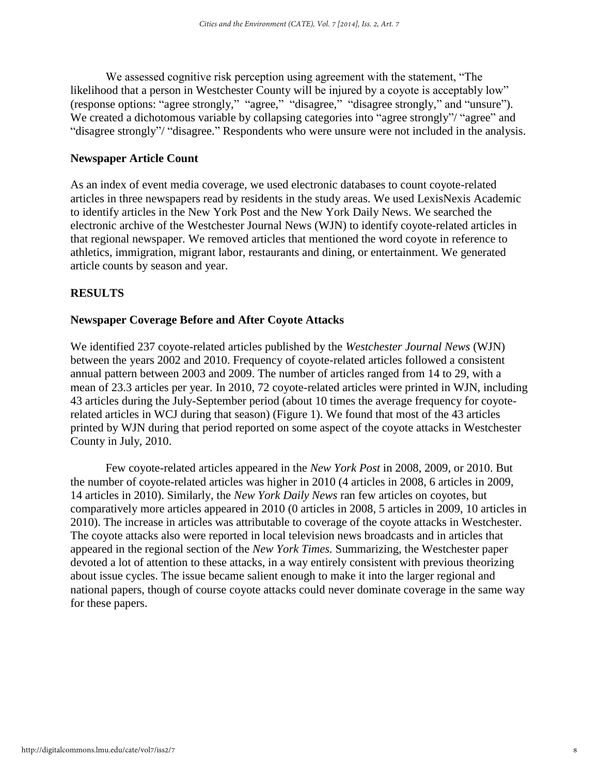We assessed cognitive risk perception using agreement with the statement, "The likelihood that a person in Westchester County will be injured by a coyote is acceptably low" (response options: "agree strongly," "agree," "disagree," "disagree strongly," and "unsure"). We created a dichotomous variable by collapsing categories into "agree strongly"/ "agree" and "disagree strongly"/ "disagree." Respondents who were unsure were not included in the analysis.

#### **Newspaper Article Count**

As an index of event media coverage, we used electronic databases to count coyote-related articles in three newspapers read by residents in the study areas. We used LexisNexis Academic to identify articles in the New York Post and the New York Daily News. We searched the electronic archive of the Westchester Journal News (WJN) to identify coyote-related articles in that regional newspaper. We removed articles that mentioned the word coyote in reference to athletics, immigration, migrant labor, restaurants and dining, or entertainment. We generated article counts by season and year.

# **RESULTS**

#### **Newspaper Coverage Before and After Coyote Attacks**

We identified 237 coyote-related articles published by the *Westchester Journal News* (WJN) between the years 2002 and 2010. Frequency of coyote-related articles followed a consistent annual pattern between 2003 and 2009. The number of articles ranged from 14 to 29, with a mean of 23.3 articles per year. In 2010, 72 coyote-related articles were printed in WJN, including 43 articles during the July-September period (about 10 times the average frequency for coyoterelated articles in WCJ during that season) (Figure 1). We found that most of the 43 articles printed by WJN during that period reported on some aspect of the coyote attacks in Westchester County in July, 2010.

Few coyote-related articles appeared in the *New York Post* in 2008, 2009, or 2010. But the number of coyote-related articles was higher in 2010 (4 articles in 2008, 6 articles in 2009, 14 articles in 2010). Similarly, the *New York Daily News* ran few articles on coyotes, but comparatively more articles appeared in 2010 (0 articles in 2008, 5 articles in 2009, 10 articles in 2010). The increase in articles was attributable to coverage of the coyote attacks in Westchester. The coyote attacks also were reported in local television news broadcasts and in articles that appeared in the regional section of the *New York Times.* Summarizing, the Westchester paper devoted a lot of attention to these attacks, in a way entirely consistent with previous theorizing about issue cycles. The issue became salient enough to make it into the larger regional and national papers, though of course coyote attacks could never dominate coverage in the same way for these papers.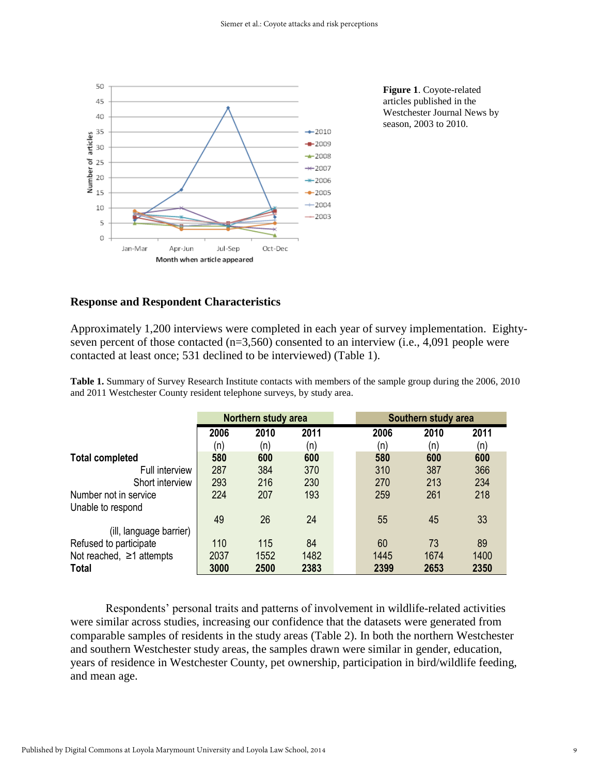

**Figure 1**. Coyote-related articles published in the Westchester Journal News by season, 2003 to 2010.

#### **Response and Respondent Characteristics**

Approximately 1,200 interviews were completed in each year of survey implementation. Eightyseven percent of those contacted (n=3,560) consented to an interview (i.e., 4,091 people were contacted at least once; 531 declined to be interviewed) (Table 1).

**Table 1.** Summary of Survey Research Institute contacts with members of the sample group during the 2006, 2010 and 2011 Westchester County resident telephone surveys, by study area.

|                                | Northern study area  |      |      | Southern study area |      |      |  |
|--------------------------------|----------------------|------|------|---------------------|------|------|--|
|                                | 2010<br>2011<br>2006 |      | 2006 | 2010                | 2011 |      |  |
|                                | (n)                  | (n)  | (n)  | (n)                 | (n)  | (n)  |  |
| <b>Total completed</b>         | 580                  | 600  | 600  | 580                 | 600  | 600  |  |
| <b>Full interview</b>          | 287                  | 384  | 370  | 310                 | 387  | 366  |  |
| Short interview                | 293                  | 216  | 230  | 270                 | 213  | 234  |  |
| Number not in service          | 224                  | 207  | 193  | 259                 | 261  | 218  |  |
| Unable to respond              |                      |      |      |                     |      |      |  |
|                                | 49                   | 26   | 24   | 55                  | 45   | 33   |  |
| (ill, language barrier)        |                      |      |      |                     |      |      |  |
| Refused to participate         | 110                  | 115  | 84   | 60                  | 73   | 89   |  |
| Not reached, $\geq$ 1 attempts | 2037                 | 1552 | 1482 | 1445                | 1674 | 1400 |  |
| <b>Total</b>                   | 3000                 | 2500 | 2383 | 2399                | 2653 | 2350 |  |

Respondents' personal traits and patterns of involvement in wildlife-related activities were similar across studies, increasing our confidence that the datasets were generated from comparable samples of residents in the study areas (Table 2). In both the northern Westchester and southern Westchester study areas, the samples drawn were similar in gender, education, years of residence in Westchester County, pet ownership, participation in bird/wildlife feeding, and mean age.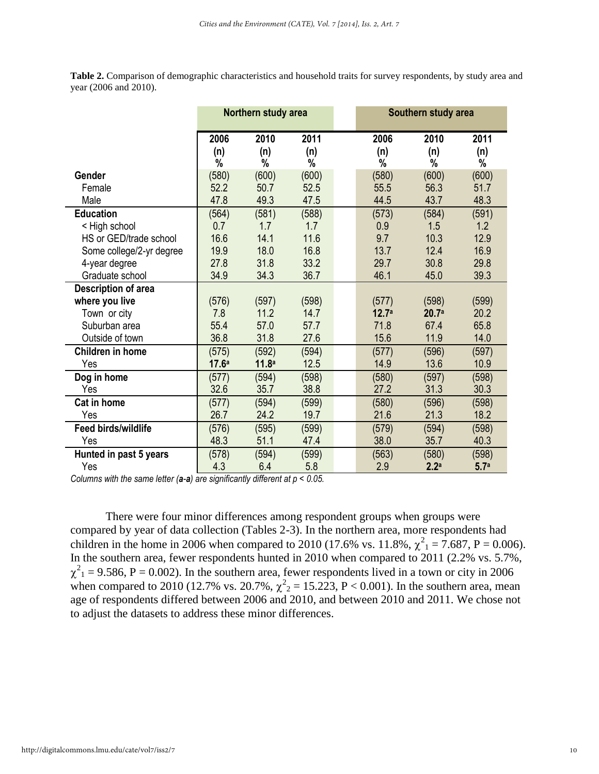|                       | Table 2. Comparison of demographic characteristics and household traits for survey respondents, by study area and |  |  |
|-----------------------|-------------------------------------------------------------------------------------------------------------------|--|--|
| year (2006 and 2010). |                                                                                                                   |  |  |

|                            | Northern study area |                   |                  | Southern study area |                  |                  |  |  |
|----------------------------|---------------------|-------------------|------------------|---------------------|------------------|------------------|--|--|
|                            | 2006<br>(n)<br>%    | 2010<br>(n)<br>%  | 2011<br>(n)<br>% | 2006<br>(n)<br>%    | 2010<br>(n)<br>% | 2011<br>(n)<br>% |  |  |
| Gender                     | (580)               | (600)             | (600)            | (580)               | (600)            | (600)            |  |  |
| Female                     | 52.2                | 50.7              | 52.5             | 55.5                | 56.3             | 51.7             |  |  |
| Male                       | 47.8                | 49.3              | 47.5             | 44.5                | 43.7             | 48.3             |  |  |
| <b>Education</b>           | (564)               | (581)             | (588)            | (573)               | (584)            | (591)            |  |  |
| < High school              | 0.7                 | 1.7               | 1.7              | 0.9                 | 1.5              | 1.2              |  |  |
| HS or GED/trade school     | 16.6                | 14.1              | 11.6             | 9.7                 | 10.3             | 12.9             |  |  |
| Some college/2-yr degree   | 19.9                | 18.0              | 16.8             | 13.7                | 12.4             | 16.9             |  |  |
| 4-year degree              | 27.8                | 31.8              | 33.2             | 29.7                | 30.8             | 29.8             |  |  |
| Graduate school            | 34.9                | 34.3              | 36.7             | 46.1                | 45.0             | 39.3             |  |  |
| <b>Description of area</b> |                     |                   |                  |                     |                  |                  |  |  |
| where you live             | (576)               | (597)             | (598)            | (577)               | (598)            | (599)            |  |  |
| Town or city               | 7.8                 | 11.2              | 14.7             | 12.7 <sup>a</sup>   | 20.7a            | 20.2             |  |  |
| Suburban area              | 55.4                | 57.0              | 57.7             | 71.8                | 67.4             | 65.8             |  |  |
| Outside of town            | 36.8                | 31.8              | 27.6             | 15.6                | 11.9             | 14.0             |  |  |
| Children in home           | (575)               | (592)             | (594)            | (577)               | (596)            | (597)            |  |  |
| Yes                        | 17.6a               | 11.8 <sup>a</sup> | 12.5             | 14.9                | 13.6             | 10.9             |  |  |
| Dog in home                | (577)               | (594)             | (598)            | (580)               | (597)            | (598)            |  |  |
| Yes                        | 32.6                | 35.7              | 38.8             | 27.2                | 31.3             | 30.3             |  |  |
| Cat in home                | (577)               | (594)             | (599)            | (580)               | (596)            | (598)            |  |  |
| Yes                        | 26.7                | 24.2              | 19.7             | 21.6                | 21.3             | 18.2             |  |  |
| Feed birds/wildlife        | (576)               | (595)             | (599)            | (579)               | (594)            | (598)            |  |  |
| Yes                        | 48.3                | 51.1              | 47.4             | 38.0                | 35.7             | 40.3             |  |  |
| Hunted in past 5 years     | (578)               | (594)             | (599)            | (563)               | (580)            | (598)            |  |  |
| Yes                        | 4.3                 | 6.4               | 5.8              | 2.9                 | 2.2 <sup>a</sup> | 5.7 <sup>a</sup> |  |  |

*Columns with the same letter (a-a) are significantly different at p < 0.05.* 

There were four minor differences among respondent groups when groups were compared by year of data collection (Tables 2-3). In the northern area, more respondents had children in the home in 2006 when compared to 2010 (17.6% vs. 11.8%,  $\chi^2_{1} = 7.687$ , P = 0.006). In the southern area, fewer respondents hunted in 2010 when compared to 2011 (2.2% vs. 5.7%,  $\chi^2$ <sub>1</sub> = 9.586, P = 0.002). In the southern area, fewer respondents lived in a town or city in 2006 when compared to 2010 (12.7% vs. 20.7%,  $\chi^2$ <sub>2</sub> = 15.223, P < 0.001). In the southern area, mean age of respondents differed between 2006 and 2010, and between 2010 and 2011. We chose not to adjust the datasets to address these minor differences.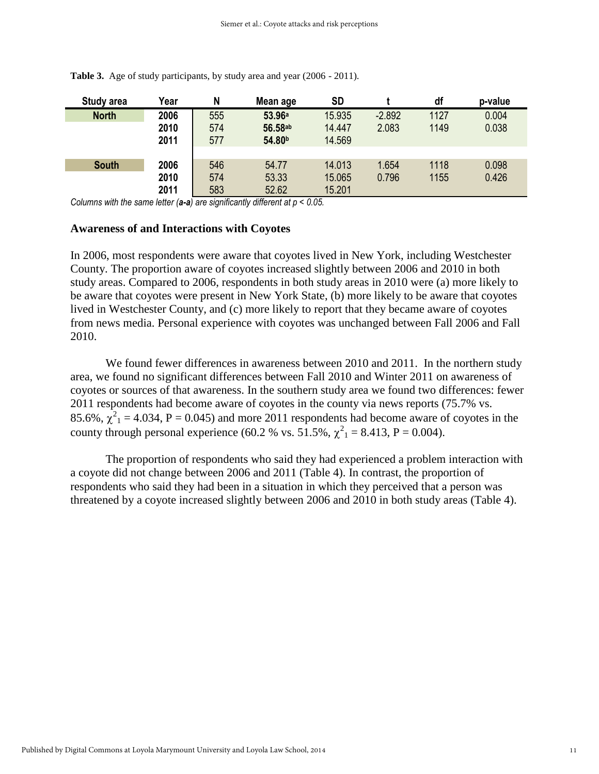| Study area   | Year | N   | Mean age           | <b>SD</b> |          | df   | p-value |
|--------------|------|-----|--------------------|-----------|----------|------|---------|
| <b>North</b> | 2006 | 555 | 53.96 <sup>a</sup> | 15.935    | $-2.892$ | 1127 | 0.004   |
|              | 2010 | 574 | 56.58ab            | 14.447    | 2.083    | 1149 | 0.038   |
|              | 2011 | 577 | 54.80 <sup>b</sup> | 14.569    |          |      |         |
|              |      |     |                    |           |          |      |         |
| <b>South</b> | 2006 | 546 | 54.77              | 14.013    | 1.654    | 1118 | 0.098   |
|              | 2010 | 574 | 53.33              | 15.065    | 0.796    | 1155 | 0.426   |
|              | 2011 | 583 | 52.62              | 15.201    |          |      |         |

**Table 3.** Age of study participants, by study area and year (2006 - 2011).

*Columns with the same letter (a-a) are significantly different at p < 0.05.* 

#### **Awareness of and Interactions with Coyotes**

In 2006, most respondents were aware that coyotes lived in New York, including Westchester County. The proportion aware of coyotes increased slightly between 2006 and 2010 in both study areas. Compared to 2006, respondents in both study areas in 2010 were (a) more likely to be aware that coyotes were present in New York State, (b) more likely to be aware that coyotes lived in Westchester County, and (c) more likely to report that they became aware of coyotes from news media. Personal experience with coyotes was unchanged between Fall 2006 and Fall 2010.

We found fewer differences in awareness between 2010 and 2011. In the northern study area, we found no significant differences between Fall 2010 and Winter 2011 on awareness of coyotes or sources of that awareness. In the southern study area we found two differences: fewer 2011 respondents had become aware of coyotes in the county via news reports (75.7% vs. 85.6%,  $\chi^2_1$  = 4.034, P = 0.045) and more 2011 respondents had become aware of coyotes in the county through personal experience (60.2 % vs. 51.5%,  $\chi^2_{1} = 8.413$ , P = 0.004).

The proportion of respondents who said they had experienced a problem interaction with a coyote did not change between 2006 and 2011 (Table 4). In contrast, the proportion of respondents who said they had been in a situation in which they perceived that a person was threatened by a coyote increased slightly between 2006 and 2010 in both study areas (Table 4).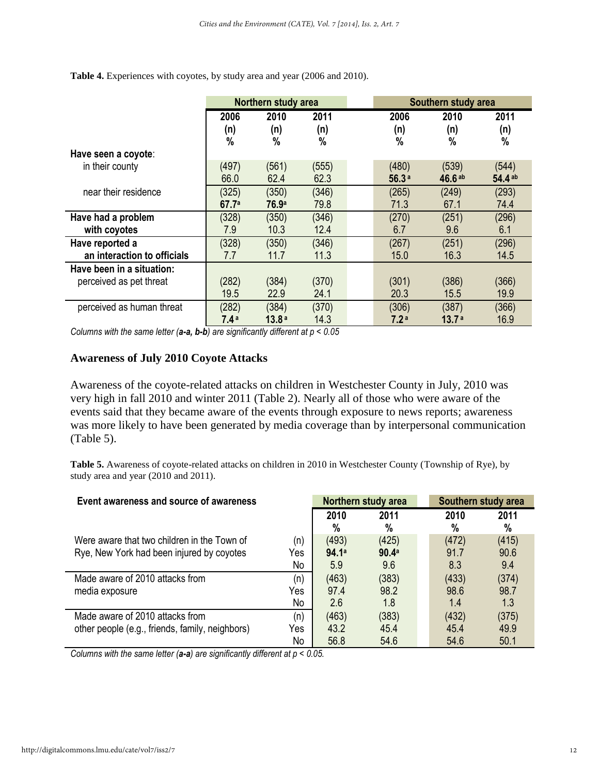|                                                      | Northern study area |                            |               |  | Southern study area       |                            |                  |  |
|------------------------------------------------------|---------------------|----------------------------|---------------|--|---------------------------|----------------------------|------------------|--|
|                                                      | 2006<br>(n)         | 2010<br>(n)                | 2011<br>(n)   |  | 2006<br>(n)               | 2010<br>(n)                | 2011<br>(n)      |  |
| Have seen a coyote:                                  | %                   | $\%$                       | %             |  | %                         | %                          | %                |  |
| in their county                                      | (497)<br>66.0       | (561)<br>62.4              | (555)<br>62.3 |  | (480)<br>56.3a            | (539)<br>46.6 ab           | (544)<br>54.4 ab |  |
| near their residence                                 | (325)<br>67.7a      | (350)<br>76.9 <sup>a</sup> | (346)<br>79.8 |  | (265)<br>71.3             | (249)<br>67.1              | (293)<br>74.4    |  |
| Have had a problem<br>with coyotes                   | (328)<br>7.9        | (350)<br>10.3              | (346)<br>12.4 |  | (270)<br>6.7              | (251)<br>9.6               | (296)<br>6.1     |  |
| Have reported a<br>an interaction to officials       | (328)<br>7.7        | (350)<br>11.7              | (346)<br>11.3 |  | (267)<br>15.0             | (251)<br>16.3              | (296)<br>14.5    |  |
| Have been in a situation:<br>perceived as pet threat | (282)<br>19.5       | (384)<br>22.9              | (370)<br>24.1 |  | (301)<br>20.3             | (386)<br>15.5              | (366)<br>19.9    |  |
| perceived as human threat                            | (282)<br>7.4a       | (384)<br>13.8a             | (370)<br>14.3 |  | (306)<br>7.2 <sup>a</sup> | (387)<br>13.7 <sup>a</sup> | (366)<br>16.9    |  |

**Table 4.** Experiences with coyotes, by study area and year (2006 and 2010).

*Columns with the same letter (a-a, b-b) are significantly different at p < 0.05*

# **Awareness of July 2010 Coyote Attacks**

Awareness of the coyote-related attacks on children in Westchester County in July, 2010 was very high in fall 2010 and winter 2011 (Table 2). Nearly all of those who were aware of the events said that they became aware of the events through exposure to news reports; awareness was more likely to have been generated by media coverage than by interpersonal communication (Table 5).

**Table 5.** Awareness of coyote-related attacks on children in 2010 in Westchester County (Township of Rye), by study area and year (2010 and 2011).

| Event awareness and source of awareness         |     | Northern study area | <b>Southern study area</b> |       |       |
|-------------------------------------------------|-----|---------------------|----------------------------|-------|-------|
|                                                 |     | 2010                | 2011                       | 2010  | 2011  |
|                                                 |     | %                   | $\%$                       | %     | $\%$  |
| Were aware that two children in the Town of     | (n) | (493)               | (425)                      | (472) | (415) |
| Rye, New York had been injured by coyotes       | Yes | 94.1a               | 90.4 <sup>a</sup>          | 91.7  | 90.6  |
|                                                 | No  | 5.9                 | 9.6                        | 8.3   | 9.4   |
| Made aware of 2010 attacks from                 | (n) | (463)               | (383)                      | (433) | (374) |
| media exposure                                  | Yes | 97.4                | 98.2                       | 98.6  | 98.7  |
|                                                 | No  | 2.6                 | 1.8                        | 1.4   | 1.3   |
| Made aware of 2010 attacks from                 | (n) | (463)               | (383)                      | (432) | (375) |
| other people (e.g., friends, family, neighbors) | Yes | 43.2                | 45.4                       | 45.4  | 49.9  |
|                                                 | No  | 56.8                | 54.6                       | 54.6  | 50.1  |

*Columns with the same letter (a-a) are significantly different at p < 0.05.*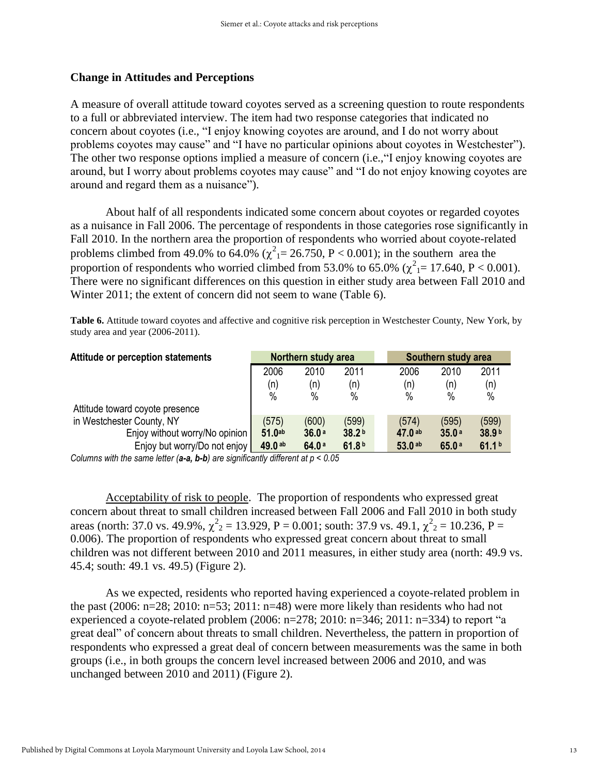#### **Change in Attitudes and Perceptions**

A measure of overall attitude toward coyotes served as a screening question to route respondents to a full or abbreviated interview. The item had two response categories that indicated no concern about coyotes (i.e., "I enjoy knowing coyotes are around, and I do not worry about problems coyotes may cause" and "I have no particular opinions about coyotes in Westchester"). The other two response options implied a measure of concern (i.e.,"I enjoy knowing coyotes are around, but I worry about problems coyotes may cause" and "I do not enjoy knowing coyotes are around and regard them as a nuisance").

About half of all respondents indicated some concern about coyotes or regarded coyotes as a nuisance in Fall 2006. The percentage of respondents in those categories rose significantly in Fall 2010. In the northern area the proportion of respondents who worried about coyote-related problems climbed from 49.0% to 64.0%  $(\chi^2) = 26.750$ , P < 0.001); in the southern area the proportion of respondents who worried climbed from 53.0% to 65.0% ( $\chi^2$ <sub>1</sub>= 17.640, P < 0.001). There were no significant differences on this question in either study area between Fall 2010 and Winter 2011; the extent of concern did not seem to wane (Table 6).

**Table 6.** Attitude toward coyotes and affective and cognitive risk perception in Westchester County, New York, by study area and year (2006-2011).

| Attitude or perception statements | Northern study area |                   |                   | Southern study area |                   |                   |
|-----------------------------------|---------------------|-------------------|-------------------|---------------------|-------------------|-------------------|
|                                   | 2006                | 2010              | 2011              | 2006                | 2010              | 2011              |
|                                   | (n)                 | (n)               | (n)               | (n)                 | (n)               | (n)               |
|                                   | $\%$                | $\%$              | $\%$              | $\%$                | $\%$              | $\%$              |
| Attitude toward coyote presence   |                     |                   |                   |                     |                   |                   |
| in Westchester County, NY         | (575)               | (600)             | (599)             | (574)               | (595)             | (599)             |
| Enjoy without worry/No opinion    | 51.0 <sub>ab</sub>  | 36.0 <sup>a</sup> | 38.2 <sup>b</sup> | 47.0 <sup>ab</sup>  | 35.0 <sup>a</sup> | 38.9b             |
| Enjoy but worry/Do not enjoy      | 49.0 <sup>ab</sup>  | 64.0a             | 61.8 <sup>b</sup> | 53.0 <sup>ab</sup>  | 65.0a             | 61.1 <sup>b</sup> |

*Columns with the same letter (a-a, b-b) are significantly different at p < 0.05* 

Acceptability of risk to people. The proportion of respondents who expressed great concern about threat to small children increased between Fall 2006 and Fall 2010 in both study areas (north: 37.0 vs. 49.9%,  $\chi^2$ <sub>2</sub> = 13.929, P = 0.001; south: 37.9 vs. 49.1,  $\chi^2$ <sub>2</sub> = 10.236, P = 0.006). The proportion of respondents who expressed great concern about threat to small children was not different between 2010 and 2011 measures, in either study area (north: 49.9 vs. 45.4; south: 49.1 vs. 49.5) (Figure 2).

As we expected, residents who reported having experienced a coyote-related problem in the past (2006: n=28; 2010: n=53; 2011: n=48) were more likely than residents who had not experienced a coyote-related problem (2006:  $n=278$ ; 2010:  $n=346$ ; 2011:  $n=334$ ) to report "a great deal" of concern about threats to small children. Nevertheless, the pattern in proportion of respondents who expressed a great deal of concern between measurements was the same in both groups (i.e., in both groups the concern level increased between 2006 and 2010, and was unchanged between 2010 and 2011) (Figure 2).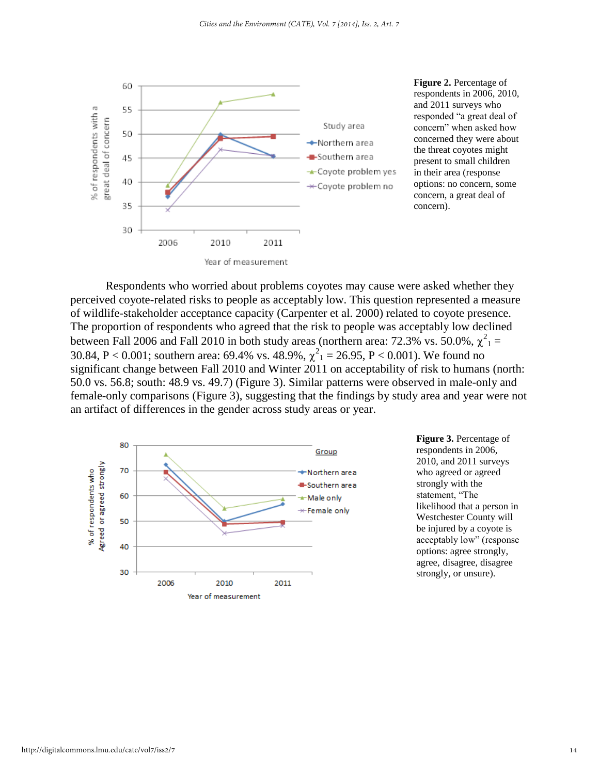

**Figure 2.** Percentage of respondents in 2006, 2010, and 2011 surveys who responded "a great deal of concern" when asked how concerned they were about the threat coyotes might present to small children in their area (response options: no concern, some concern, a great deal of concern).

Respondents who worried about problems coyotes may cause were asked whether they perceived coyote-related risks to people as acceptably low. This question represented a measure of wildlife-stakeholder acceptance capacity (Carpenter et al. 2000) related to coyote presence. The proportion of respondents who agreed that the risk to people was acceptably low declined between Fall 2006 and Fall 2010 in both study areas (northern area: 72.3% vs. 50.0%,  $\chi^2$ <sub>1</sub> = 30.84, P < 0.001; southern area: 69.4% vs. 48.9%,  $\chi^2_1 = 26.95$ , P < 0.001). We found no significant change between Fall 2010 and Winter 2011 on acceptability of risk to humans (north: 50.0 vs. 56.8; south: 48.9 vs. 49.7) (Figure 3). Similar patterns were observed in male-only and female-only comparisons (Figure 3), suggesting that the findings by study area and year were not an artifact of differences in the gender across study areas or year.



**Figure 3.** Percentage of respondents in 2006, 2010, and 2011 surveys who agreed or agreed strongly with the statement, "The likelihood that a person in Westchester County will be injured by a coyote is acceptably low" (response options: agree strongly, agree, disagree, disagree strongly, or unsure).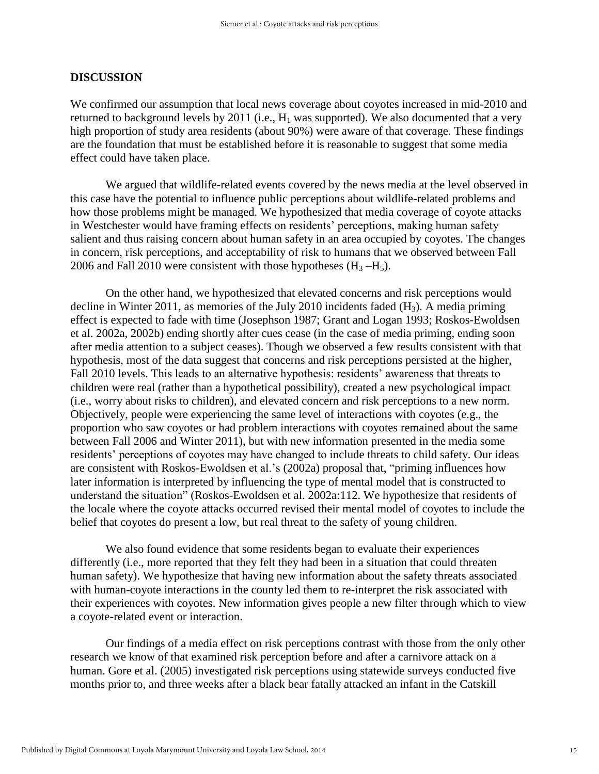#### **DISCUSSION**

We confirmed our assumption that local news coverage about coyotes increased in mid-2010 and returned to background levels by 2011 (i.e.,  $H_1$  was supported). We also documented that a very high proportion of study area residents (about 90%) were aware of that coverage. These findings are the foundation that must be established before it is reasonable to suggest that some media effect could have taken place.

We argued that wildlife-related events covered by the news media at the level observed in this case have the potential to influence public perceptions about wildlife-related problems and how those problems might be managed. We hypothesized that media coverage of coyote attacks in Westchester would have framing effects on residents' perceptions, making human safety salient and thus raising concern about human safety in an area occupied by coyotes. The changes in concern, risk perceptions, and acceptability of risk to humans that we observed between Fall 2006 and Fall 2010 were consistent with those hypotheses  $(H_3 - H_5)$ .

On the other hand, we hypothesized that elevated concerns and risk perceptions would decline in Winter 2011, as memories of the July 2010 incidents faded  $(H_3)$ . A media priming effect is expected to fade with time (Josephson 1987; Grant and Logan 1993; Roskos-Ewoldsen et al. 2002a, 2002b) ending shortly after cues cease (in the case of media priming, ending soon after media attention to a subject ceases). Though we observed a few results consistent with that hypothesis, most of the data suggest that concerns and risk perceptions persisted at the higher, Fall 2010 levels. This leads to an alternative hypothesis: residents' awareness that threats to children were real (rather than a hypothetical possibility), created a new psychological impact (i.e., worry about risks to children), and elevated concern and risk perceptions to a new norm. Objectively, people were experiencing the same level of interactions with coyotes (e.g., the proportion who saw coyotes or had problem interactions with coyotes remained about the same between Fall 2006 and Winter 2011), but with new information presented in the media some residents' perceptions of coyotes may have changed to include threats to child safety. Our ideas are consistent with Roskos-Ewoldsen et al.'s (2002a) proposal that, "priming influences how later information is interpreted by influencing the type of mental model that is constructed to understand the situation" (Roskos-Ewoldsen et al. 2002a:112. We hypothesize that residents of the locale where the coyote attacks occurred revised their mental model of coyotes to include the belief that coyotes do present a low, but real threat to the safety of young children.

We also found evidence that some residents began to evaluate their experiences differently (i.e., more reported that they felt they had been in a situation that could threaten human safety). We hypothesize that having new information about the safety threats associated with human-coyote interactions in the county led them to re-interpret the risk associated with their experiences with coyotes. New information gives people a new filter through which to view a coyote-related event or interaction.

Our findings of a media effect on risk perceptions contrast with those from the only other research we know of that examined risk perception before and after a carnivore attack on a human. Gore et al. (2005) investigated risk perceptions using statewide surveys conducted five months prior to, and three weeks after a black bear fatally attacked an infant in the Catskill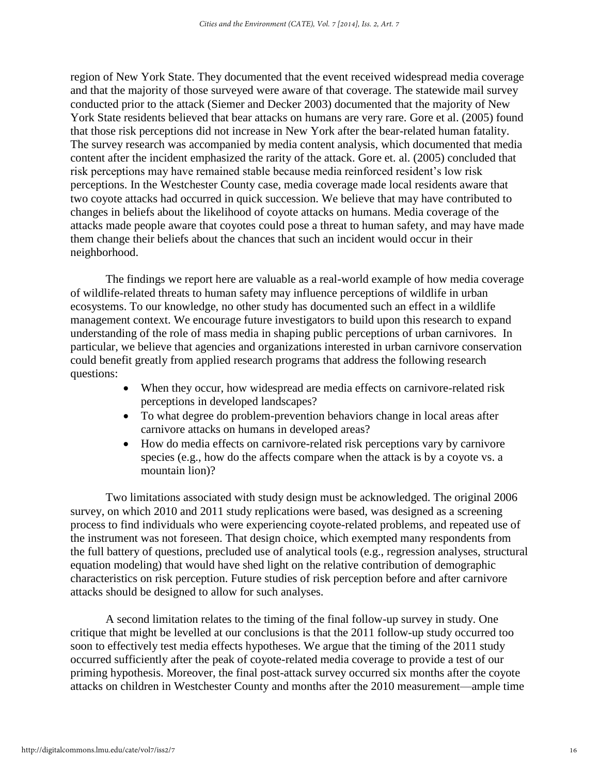region of New York State. They documented that the event received widespread media coverage and that the majority of those surveyed were aware of that coverage. The statewide mail survey conducted prior to the attack (Siemer and Decker 2003) documented that the majority of New York State residents believed that bear attacks on humans are very rare. Gore et al. (2005) found that those risk perceptions did not increase in New York after the bear-related human fatality. The survey research was accompanied by media content analysis, which documented that media content after the incident emphasized the rarity of the attack. Gore et. al. (2005) concluded that risk perceptions may have remained stable because media reinforced resident's low risk perceptions. In the Westchester County case, media coverage made local residents aware that two coyote attacks had occurred in quick succession. We believe that may have contributed to changes in beliefs about the likelihood of coyote attacks on humans. Media coverage of the attacks made people aware that coyotes could pose a threat to human safety, and may have made them change their beliefs about the chances that such an incident would occur in their neighborhood.

The findings we report here are valuable as a real-world example of how media coverage of wildlife-related threats to human safety may influence perceptions of wildlife in urban ecosystems. To our knowledge, no other study has documented such an effect in a wildlife management context. We encourage future investigators to build upon this research to expand understanding of the role of mass media in shaping public perceptions of urban carnivores. In particular, we believe that agencies and organizations interested in urban carnivore conservation could benefit greatly from applied research programs that address the following research questions:

- When they occur, how widespread are media effects on carnivore-related risk perceptions in developed landscapes?
- To what degree do problem-prevention behaviors change in local areas after carnivore attacks on humans in developed areas?
- How do media effects on carnivore-related risk perceptions vary by carnivore species (e.g., how do the affects compare when the attack is by a coyote vs. a mountain lion)?

Two limitations associated with study design must be acknowledged. The original 2006 survey, on which 2010 and 2011 study replications were based, was designed as a screening process to find individuals who were experiencing coyote-related problems, and repeated use of the instrument was not foreseen. That design choice, which exempted many respondents from the full battery of questions, precluded use of analytical tools (e.g., regression analyses, structural equation modeling) that would have shed light on the relative contribution of demographic characteristics on risk perception. Future studies of risk perception before and after carnivore attacks should be designed to allow for such analyses.

 A second limitation relates to the timing of the final follow-up survey in study. One critique that might be levelled at our conclusions is that the 2011 follow-up study occurred too soon to effectively test media effects hypotheses. We argue that the timing of the 2011 study occurred sufficiently after the peak of coyote-related media coverage to provide a test of our priming hypothesis. Moreover, the final post-attack survey occurred six months after the coyote attacks on children in Westchester County and months after the 2010 measurement—ample time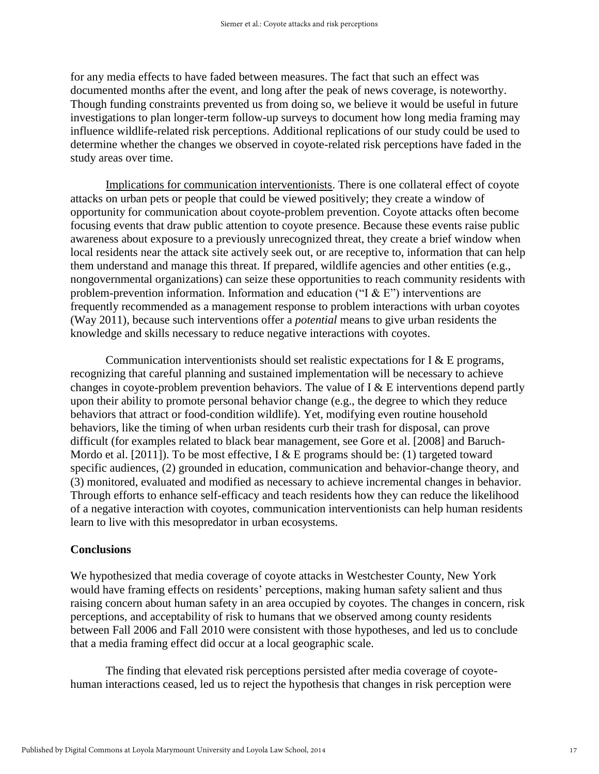for any media effects to have faded between measures. The fact that such an effect was documented months after the event, and long after the peak of news coverage, is noteworthy. Though funding constraints prevented us from doing so, we believe it would be useful in future investigations to plan longer-term follow-up surveys to document how long media framing may influence wildlife-related risk perceptions. Additional replications of our study could be used to determine whether the changes we observed in coyote-related risk perceptions have faded in the study areas over time.

Implications for communication interventionists. There is one collateral effect of coyote attacks on urban pets or people that could be viewed positively; they create a window of opportunity for communication about coyote-problem prevention. Coyote attacks often become focusing events that draw public attention to coyote presence. Because these events raise public awareness about exposure to a previously unrecognized threat, they create a brief window when local residents near the attack site actively seek out, or are receptive to, information that can help them understand and manage this threat. If prepared, wildlife agencies and other entities (e.g., nongovernmental organizations) can seize these opportunities to reach community residents with problem-prevention information. Information and education ("I & E") interventions are frequently recommended as a management response to problem interactions with urban coyotes (Way 2011), because such interventions offer a *potential* means to give urban residents the knowledge and skills necessary to reduce negative interactions with coyotes.

Communication interventionists should set realistic expectations for I & E programs, recognizing that careful planning and sustained implementation will be necessary to achieve changes in coyote-problem prevention behaviors. The value of  $I \& E$  interventions depend partly upon their ability to promote personal behavior change (e.g., the degree to which they reduce behaviors that attract or food-condition wildlife). Yet, modifying even routine household behaviors, like the timing of when urban residents curb their trash for disposal, can prove difficult (for examples related to black bear management, see Gore et al. [2008] and Baruch-Mordo et al. [2011]). To be most effective, I & E programs should be: (1) targeted toward specific audiences, (2) grounded in education, communication and behavior-change theory, and (3) monitored, evaluated and modified as necessary to achieve incremental changes in behavior. Through efforts to enhance self-efficacy and teach residents how they can reduce the likelihood of a negative interaction with coyotes, communication interventionists can help human residents learn to live with this mesopredator in urban ecosystems.

#### **Conclusions**

We hypothesized that media coverage of coyote attacks in Westchester County, New York would have framing effects on residents' perceptions, making human safety salient and thus raising concern about human safety in an area occupied by coyotes. The changes in concern, risk perceptions, and acceptability of risk to humans that we observed among county residents between Fall 2006 and Fall 2010 were consistent with those hypotheses, and led us to conclude that a media framing effect did occur at a local geographic scale.

The finding that elevated risk perceptions persisted after media coverage of coyotehuman interactions ceased, led us to reject the hypothesis that changes in risk perception were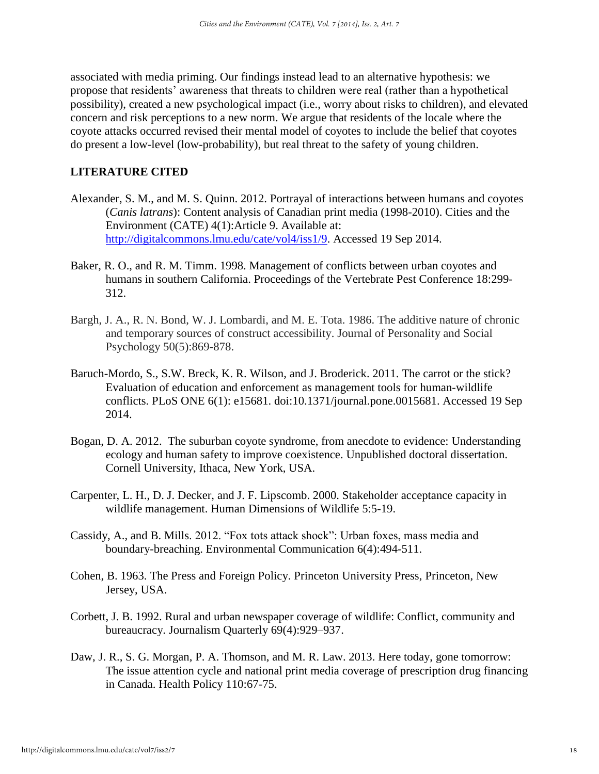associated with media priming. Our findings instead lead to an alternative hypothesis: we propose that residents' awareness that threats to children were real (rather than a hypothetical possibility), created a new psychological impact (i.e., worry about risks to children), and elevated concern and risk perceptions to a new norm. We argue that residents of the locale where the coyote attacks occurred revised their mental model of coyotes to include the belief that coyotes do present a low-level (low-probability), but real threat to the safety of young children.

# **LITERATURE CITED**

- Alexander, S. M., and M. S. Quinn. 2012. Portrayal of interactions between humans and coyotes (*Canis latrans*): Content analysis of Canadian print media (1998-2010). Cities and the Environment (CATE) 4(1):Article 9. Available at: [http://digitalcommons.lmu.edu/cate/vol4/iss1/9.](http://digitalcommons.lmu.edu/cate/vol4/iss1/9) Accessed 19 Sep 2014.
- Baker, R. O., and R. M. Timm. 1998. Management of conflicts between urban coyotes and humans in southern California. Proceedings of the Vertebrate Pest Conference 18:299- 312.
- Bargh, J. A., R. N. Bond, W. J. Lombardi, and M. E. Tota. 1986. The additive nature of chronic and temporary sources of construct accessibility. Journal of Personality and Social Psychology 50(5):869-878.
- Baruch-Mordo, S., S.W. Breck, K. R. Wilson, and J. Broderick. 2011. The carrot or the stick? Evaluation of education and enforcement as management tools for human-wildlife conflicts. PLoS ONE 6(1): e15681. doi:10.1371/journal.pone.0015681. Accessed 19 Sep 2014.
- Bogan, D. A. 2012. The suburban coyote syndrome, from anecdote to evidence: Understanding ecology and human safety to improve coexistence. Unpublished doctoral dissertation. Cornell University, Ithaca, New York, USA.
- Carpenter, L. H., D. J. Decker, and J. F. Lipscomb. 2000. Stakeholder acceptance capacity in wildlife management. Human Dimensions of Wildlife 5:5-19.
- Cassidy, A., and B. Mills. 2012. "Fox tots attack shock": Urban foxes, mass media and boundary-breaching. Environmental Communication 6(4):494-511.
- Cohen, B. 1963. The Press and Foreign Policy. Princeton University Press, Princeton, New Jersey, USA.
- Corbett, J. B. 1992. Rural and urban newspaper coverage of wildlife: Conflict, community and bureaucracy. Journalism Quarterly 69(4):929–937.
- Daw, J. R., S. G. Morgan, P. A. Thomson, and M. R. Law. 2013. Here today, gone tomorrow: The issue attention cycle and national print media coverage of prescription drug financing in Canada. Health Policy 110:67-75.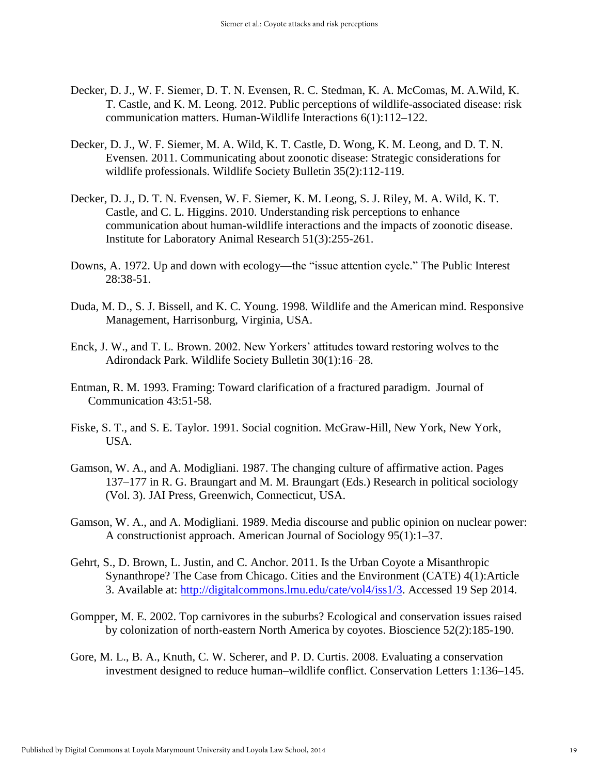- Decker, D. J., W. F. Siemer, D. T. N. Evensen, R. C. Stedman, K. A. McComas, M. A.Wild, K. T. Castle, and K. M. Leong. 2012. Public perceptions of wildlife-associated disease: risk communication matters. Human-Wildlife Interactions 6(1):112–122.
- Decker, D. J., W. F. Siemer, M. A. Wild, K. T. Castle, D. Wong, K. M. Leong, and D. T. N. Evensen. 2011. Communicating about zoonotic disease: Strategic considerations for wildlife professionals. Wildlife Society Bulletin 35(2):112-119.
- Decker, D. J., D. T. N. Evensen, W. F. Siemer, K. M. Leong, S. J. Riley, M. A. Wild, K. T. Castle, and C. L. Higgins. 2010. Understanding risk perceptions to enhance communication about human-wildlife interactions and the impacts of zoonotic disease. Institute for Laboratory Animal Research 51(3):255-261.
- Downs, A. 1972. Up and down with ecology—the "issue attention cycle." The Public Interest 28:38-51.
- Duda, M. D., S. J. Bissell, and K. C. Young. 1998. Wildlife and the American mind. Responsive Management, Harrisonburg, Virginia, USA.
- Enck, J. W., and T. L. Brown. 2002. New Yorkers' attitudes toward restoring wolves to the Adirondack Park. Wildlife Society Bulletin 30(1):16–28.
- Entman, R. M. 1993. Framing: Toward clarification of a fractured paradigm. Journal of Communication 43:51-58.
- Fiske, S. T., and S. E. Taylor. 1991. Social cognition. McGraw-Hill, New York, New York, USA.
- Gamson, W. A., and A. Modigliani. 1987. The changing culture of affirmative action. Pages 137–177 in R. G. Braungart and M. M. Braungart (Eds.) Research in political sociology (Vol. 3). JAI Press, Greenwich, Connecticut, USA.
- Gamson, W. A., and A. Modigliani. 1989. Media discourse and public opinion on nuclear power: A constructionist approach. American Journal of Sociology 95(1):1–37.
- Gehrt, S., D. Brown, L. Justin, and C. Anchor. 2011. Is the Urban Coyote a Misanthropic Synanthrope? The Case from Chicago. Cities and the Environment (CATE) 4(1):Article 3. Available at: [http://digitalcommons.lmu.edu/cate/vol4/iss1/3.](http://digitalcommons.lmu.edu/cate/vol4/iss1/3) Accessed 19 Sep 2014.
- Gompper, M. E. 2002. Top carnivores in the suburbs? Ecological and conservation issues raised by colonization of north-eastern North America by coyotes. Bioscience 52(2):185-190.
- Gore, M. L., B. A., Knuth, C. W. Scherer, and P. D. Curtis. 2008. Evaluating a conservation investment designed to reduce human–wildlife conflict. Conservation Letters 1:136–145.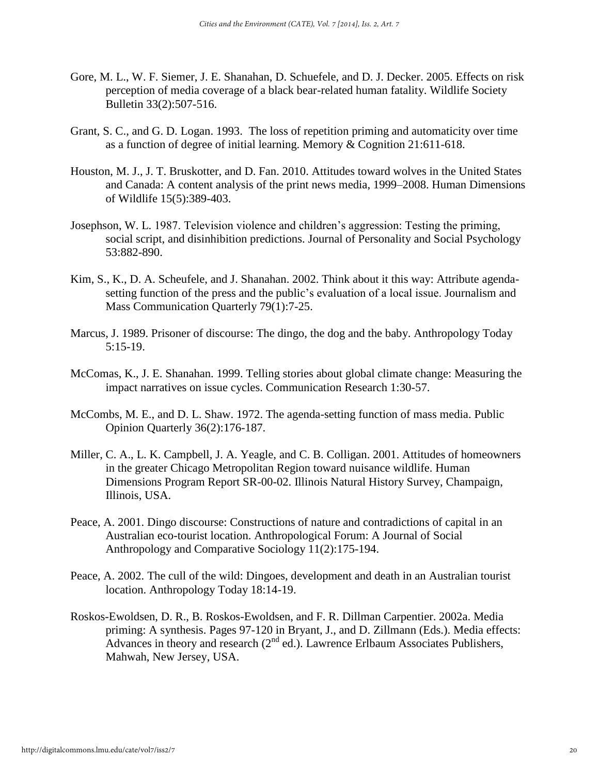- Gore, M. L., W. F. Siemer, J. E. Shanahan, D. Schuefele, and D. J. Decker. 2005. Effects on risk perception of media coverage of a black bear-related human fatality. Wildlife Society Bulletin 33(2):507-516.
- Grant, S. C., and G. D. Logan. 1993. The loss of repetition priming and automaticity over time as a function of degree of initial learning. Memory & Cognition 21:611-618.
- Houston, M. J., J. T. Bruskotter, and D. Fan. 2010. Attitudes toward wolves in the United States and Canada: A content analysis of the print news media, 1999–2008. Human Dimensions of Wildlife 15(5):389-403.
- Josephson, W. L. 1987. Television violence and children's aggression: Testing the priming, social script, and disinhibition predictions. Journal of Personality and Social Psychology 53:882-890.
- Kim, S., K., D. A. Scheufele, and J. Shanahan. 2002. Think about it this way: Attribute agendasetting function of the press and the public's evaluation of a local issue. Journalism and Mass Communication Quarterly 79(1):7-25.
- Marcus, J. 1989. Prisoner of discourse: The dingo, the dog and the baby. Anthropology Today 5:15-19.
- McComas, K., J. E. Shanahan. 1999. Telling stories about global climate change: Measuring the impact narratives on issue cycles. Communication Research 1:30-57.
- McCombs, M. E., and D. L. Shaw. 1972. The agenda-setting function of mass media. Public Opinion Quarterly 36(2):176-187.
- Miller, C. A., L. K. Campbell, J. A. Yeagle, and C. B. Colligan. 2001. Attitudes of homeowners in the greater Chicago Metropolitan Region toward nuisance wildlife. Human Dimensions Program Report SR-00-02. Illinois Natural History Survey, Champaign, Illinois, USA.
- Peace, A. 2001. Dingo discourse: Constructions of nature and contradictions of capital in an Australian eco-tourist location. Anthropological Forum: A Journal of Social Anthropology and Comparative Sociology 11(2):175-194.
- Peace, A. 2002. The cull of the wild: Dingoes, development and death in an Australian tourist location. Anthropology Today 18:14-19.
- Roskos-Ewoldsen, D. R., B. Roskos-Ewoldsen, and F. R. Dillman Carpentier. 2002a. Media priming: A synthesis. Pages 97-120 in Bryant, J., and D. Zillmann (Eds.). Media effects: Advances in theory and research  $(2^{nd}$  ed.). Lawrence Erlbaum Associates Publishers, Mahwah, New Jersey, USA.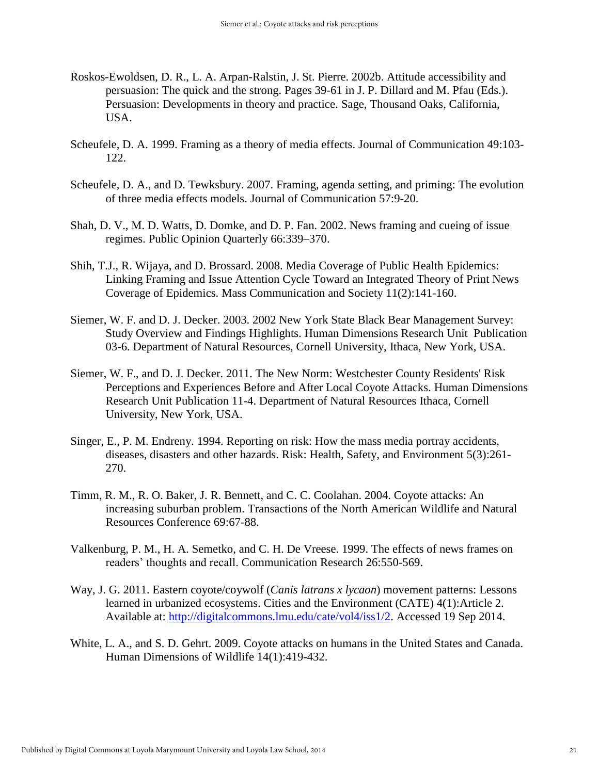- Roskos-Ewoldsen, D. R., L. A. Arpan-Ralstin, J. St. Pierre. 2002b. Attitude accessibility and persuasion: The quick and the strong. Pages 39-61 in J. P. Dillard and M. Pfau (Eds.). Persuasion: Developments in theory and practice. Sage, Thousand Oaks, California, USA.
- Scheufele, D. A. 1999. Framing as a theory of media effects. Journal of Communication 49:103- 122.
- Scheufele, D. A., and D. Tewksbury. 2007. Framing, agenda setting, and priming: The evolution of three media effects models. Journal of Communication 57:9-20.
- Shah, D. V., M. D. Watts, D. Domke, and D. P. Fan. 2002. News framing and cueing of issue regimes. Public Opinion Quarterly 66:339–370.
- Shih, T.J., R. Wijaya, and D. Brossard. 2008. Media Coverage of Public Health Epidemics: Linking Framing and Issue Attention Cycle Toward an Integrated Theory of Print News Coverage of Epidemics. Mass Communication and Society 11(2):141-160.
- Siemer, W. F. and D. J. Decker. 2003. 2002 New York State Black Bear Management Survey: Study Overview and Findings Highlights. Human Dimensions Research Unit Publication 03-6. Department of Natural Resources, Cornell University, Ithaca, New York, USA.
- Siemer, W. F., and D. J. Decker. 2011. The New Norm: Westchester County Residents' Risk Perceptions and Experiences Before and After Local Coyote Attacks. Human Dimensions Research Unit Publication 11-4. Department of Natural Resources Ithaca, Cornell University, New York, USA.
- Singer, E., P. M. Endreny. 1994. Reporting on risk: How the mass media portray accidents, diseases, disasters and other hazards. Risk: Health, Safety, and Environment 5(3):261- 270.
- Timm, R. M., R. O. Baker, J. R. Bennett, and C. C. Coolahan. 2004. Coyote attacks: An increasing suburban problem. Transactions of the North American Wildlife and Natural Resources Conference 69:67-88.
- Valkenburg, P. M., H. A. Semetko, and C. H. De Vreese. 1999. The effects of news frames on readers' thoughts and recall. Communication Research 26:550-569.
- Way, J. G. 2011. Eastern coyote/coywolf (*Canis latrans x lycaon*) movement patterns: Lessons learned in urbanized ecosystems. Cities and the Environment (CATE) 4(1):Article 2. Available at: [http://digitalcommons.lmu.edu/cate/vol4/iss1/2.](http://digitalcommons.lmu.edu/cate/vol4/iss1/2) Accessed 19 Sep 2014.
- White, L. A., and S. D. Gehrt. 2009. Coyote attacks on humans in the United States and Canada. Human Dimensions of Wildlife 14(1):419-432.